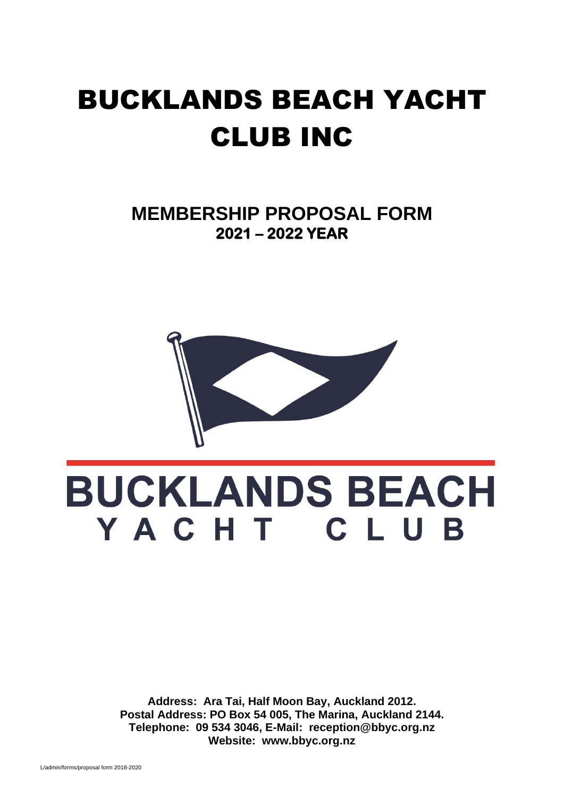## BUCKLANDS BEACH YACHT CLUB INC

**MEMBERSHIP PROPOSAL FORM 2021 – 2022 YEAR** 



# **BUCKLANDS BEACH** YACHT CLUB

**Address: Ara Tai, Half Moon Bay, Auckland 2012. Postal Address: PO Box 54 005, The Marina, Auckland 2144. Telephone: 09 534 3046, E-Mail: reception@bbyc.org.nz Website: www.bbyc.org.nz**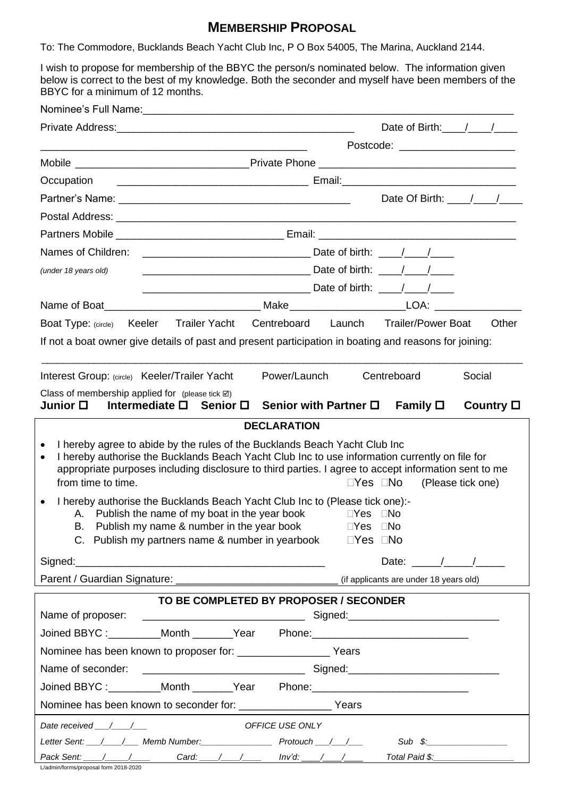## **MEMBERSHIP PROPOSAL**

To: The Commodore, Bucklands Beach Yacht Club Inc, P O Box 54005, The Marina, Auckland 2144.

I wish to propose for membership of the BBYC the person/s nominated below. The information given below is correct to the best of my knowledge. Both the seconder and myself have been members of the BBYC for a minimum of 12 months.

|                                                                                                                                                                                                                                                                                                                                                                            |                                                                                                                                                            | Date of Birth: $\frac{1}{\sqrt{2}}$                                                     |  |  |  |  |  |  |
|----------------------------------------------------------------------------------------------------------------------------------------------------------------------------------------------------------------------------------------------------------------------------------------------------------------------------------------------------------------------------|------------------------------------------------------------------------------------------------------------------------------------------------------------|-----------------------------------------------------------------------------------------|--|--|--|--|--|--|
|                                                                                                                                                                                                                                                                                                                                                                            | Postcode: ________________________<br><u> 2000 - 2000 - 2000 - 2000 - 2000 - 2000 - 2000 - 2000 - 2000 - 2000 - 2000 - 2000 - 2000 - 2000 - 2000 - 200</u> |                                                                                         |  |  |  |  |  |  |
|                                                                                                                                                                                                                                                                                                                                                                            |                                                                                                                                                            |                                                                                         |  |  |  |  |  |  |
| Occupation                                                                                                                                                                                                                                                                                                                                                                 |                                                                                                                                                            |                                                                                         |  |  |  |  |  |  |
|                                                                                                                                                                                                                                                                                                                                                                            |                                                                                                                                                            |                                                                                         |  |  |  |  |  |  |
|                                                                                                                                                                                                                                                                                                                                                                            |                                                                                                                                                            |                                                                                         |  |  |  |  |  |  |
|                                                                                                                                                                                                                                                                                                                                                                            |                                                                                                                                                            |                                                                                         |  |  |  |  |  |  |
|                                                                                                                                                                                                                                                                                                                                                                            |                                                                                                                                                            |                                                                                         |  |  |  |  |  |  |
| (under 18 years old)                                                                                                                                                                                                                                                                                                                                                       |                                                                                                                                                            |                                                                                         |  |  |  |  |  |  |
|                                                                                                                                                                                                                                                                                                                                                                            |                                                                                                                                                            |                                                                                         |  |  |  |  |  |  |
|                                                                                                                                                                                                                                                                                                                                                                            |                                                                                                                                                            |                                                                                         |  |  |  |  |  |  |
|                                                                                                                                                                                                                                                                                                                                                                            |                                                                                                                                                            | Boat Type: (circle) Keeler Trailer Yacht Centreboard Launch Trailer/Power Boat<br>Other |  |  |  |  |  |  |
| If not a boat owner give details of past and present participation in boating and reasons for joining:                                                                                                                                                                                                                                                                     |                                                                                                                                                            |                                                                                         |  |  |  |  |  |  |
| Interest Group: (circle) Keeler/Trailer Yacht                                                                                                                                                                                                                                                                                                                              |                                                                                                                                                            | Power/Launch<br>Centreboard<br>Social                                                   |  |  |  |  |  |  |
| Class of membership applied for (please tick $\boxtimes$ )<br>Junior □   Intermediate □  Senior □   Senior with Partner □<br>Family $\square$<br>Country $\Box$                                                                                                                                                                                                            |                                                                                                                                                            |                                                                                         |  |  |  |  |  |  |
|                                                                                                                                                                                                                                                                                                                                                                            |                                                                                                                                                            | <b>DECLARATION</b>                                                                      |  |  |  |  |  |  |
| I hereby agree to abide by the rules of the Bucklands Beach Yacht Club Inc<br>I hereby authorise the Bucklands Beach Yacht Club Inc to use information currently on file for<br>$\bullet$<br>appropriate purposes including disclosure to third parties. I agree to accept information sent to me<br>from time to time.<br>$\square$ Yes $\square$ No<br>(Please tick one) |                                                                                                                                                            |                                                                                         |  |  |  |  |  |  |
| I hereby authorise the Bucklands Beach Yacht Club Inc to (Please tick one):-<br>$\bullet$<br>A. Publish the name of my boat in the year book $\square$ Yes $\square$ No<br>Publish my name & number in the year book<br>$\Box$ Yes $\Box$ No<br>В.<br>C. Publish my partners name & number in yearbook $\square$ Yes $\square$ No                                          |                                                                                                                                                            |                                                                                         |  |  |  |  |  |  |
|                                                                                                                                                                                                                                                                                                                                                                            |                                                                                                                                                            | Date: $\frac{1}{\sqrt{1-\frac{1}{2}}}\frac{1}{\sqrt{1-\frac{1}{2}}}}$                   |  |  |  |  |  |  |
|                                                                                                                                                                                                                                                                                                                                                                            |                                                                                                                                                            |                                                                                         |  |  |  |  |  |  |
|                                                                                                                                                                                                                                                                                                                                                                            |                                                                                                                                                            | TO BE COMPLETED BY PROPOSER / SECONDER                                                  |  |  |  |  |  |  |
|                                                                                                                                                                                                                                                                                                                                                                            |                                                                                                                                                            |                                                                                         |  |  |  |  |  |  |
|                                                                                                                                                                                                                                                                                                                                                                            |                                                                                                                                                            | Joined BBYC: _________Month _______Year Phone: _________________________________        |  |  |  |  |  |  |
|                                                                                                                                                                                                                                                                                                                                                                            |                                                                                                                                                            |                                                                                         |  |  |  |  |  |  |
| Name of seconder:                                                                                                                                                                                                                                                                                                                                                          |                                                                                                                                                            |                                                                                         |  |  |  |  |  |  |
|                                                                                                                                                                                                                                                                                                                                                                            |                                                                                                                                                            | Joined BBYC :_________Month _______Year Phone: _________________________________        |  |  |  |  |  |  |
|                                                                                                                                                                                                                                                                                                                                                                            |                                                                                                                                                            |                                                                                         |  |  |  |  |  |  |
| OFFICE USE ONLY<br>Date received $\_\/\_\$                                                                                                                                                                                                                                                                                                                                 |                                                                                                                                                            |                                                                                         |  |  |  |  |  |  |
|                                                                                                                                                                                                                                                                                                                                                                            |                                                                                                                                                            | Letter Sent: __/___/___ Memb Number: ____________________ Protouch __/__/__             |  |  |  |  |  |  |
|                                                                                                                                                                                                                                                                                                                                                                            |                                                                                                                                                            | Pack Sent: / / / Card: / / / Inv'd: / / /<br>Total Paid \$: __________________          |  |  |  |  |  |  |

L/admin/forms/proposal form 2018-2020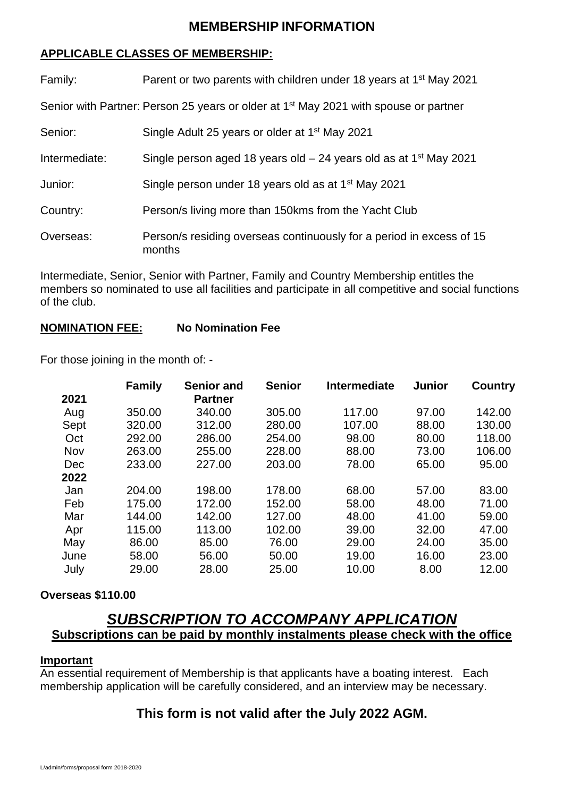#### **MEMBERSHIP INFORMATION**

#### **APPLICABLE CLASSES OF MEMBERSHIP:**

| Family:                                                                                          | Parent or two parents with children under 18 years at 1 <sup>st</sup> May 2021 |  |  |  |  |  |
|--------------------------------------------------------------------------------------------------|--------------------------------------------------------------------------------|--|--|--|--|--|
| Senior with Partner: Person 25 years or older at 1 <sup>st</sup> May 2021 with spouse or partner |                                                                                |  |  |  |  |  |
| Senior:                                                                                          | Single Adult 25 years or older at 1 <sup>st</sup> May 2021                     |  |  |  |  |  |
| Intermediate:                                                                                    | Single person aged 18 years old $-24$ years old as at 1 <sup>st</sup> May 2021 |  |  |  |  |  |
| Junior:                                                                                          | Single person under 18 years old as at 1 <sup>st</sup> May 2021                |  |  |  |  |  |
| Country:                                                                                         | Person/s living more than 150kms from the Yacht Club                           |  |  |  |  |  |
| Overseas:                                                                                        | Person/s residing overseas continuously for a period in excess of 15<br>months |  |  |  |  |  |

Intermediate, Senior, Senior with Partner, Family and Country Membership entitles the members so nominated to use all facilities and participate in all competitive and social functions of the club.

#### **NOMINATION FEE: No Nomination Fee**

For those joining in the month of: -

| <b>Family</b> | <b>Senior and</b> | <b>Senior</b> | <b>Intermediate</b> | <b>Junior</b> | Country |
|---------------|-------------------|---------------|---------------------|---------------|---------|
|               | <b>Partner</b>    |               |                     |               |         |
| 350.00        | 340.00            | 305.00        | 117.00              | 97.00         | 142.00  |
| 320.00        | 312.00            | 280.00        | 107.00              | 88.00         | 130.00  |
| 292.00        | 286.00            | 254.00        | 98.00               | 80.00         | 118.00  |
| 263.00        | 255.00            | 228.00        | 88.00               | 73.00         | 106.00  |
| 233.00        | 227.00            | 203.00        | 78.00               | 65.00         | 95.00   |
|               |                   |               |                     |               |         |
| 204.00        | 198.00            | 178.00        | 68.00               | 57.00         | 83.00   |
| 175.00        | 172.00            | 152.00        | 58.00               | 48.00         | 71.00   |
| 144.00        | 142.00            | 127.00        | 48.00               | 41.00         | 59.00   |
| 115.00        | 113.00            | 102.00        | 39.00               | 32.00         | 47.00   |
| 86.00         | 85.00             | 76.00         | 29.00               | 24.00         | 35.00   |
| 58.00         | 56.00             | 50.00         | 19.00               | 16.00         | 23.00   |
| 29.00         | 28.00             | 25.00         | 10.00               | 8.00          | 12.00   |
|               |                   |               |                     |               |         |

#### **Overseas \$110.00**

## *SUBSCRIPTION TO ACCOMPANY APPLICATION* **Subscriptions can be paid by monthly instalments please check with the office**

#### **Important**

An essential requirement of Membership is that applicants have a boating interest. Each membership application will be carefully considered, and an interview may be necessary.

### **This form is not valid after the July 2022 AGM.**